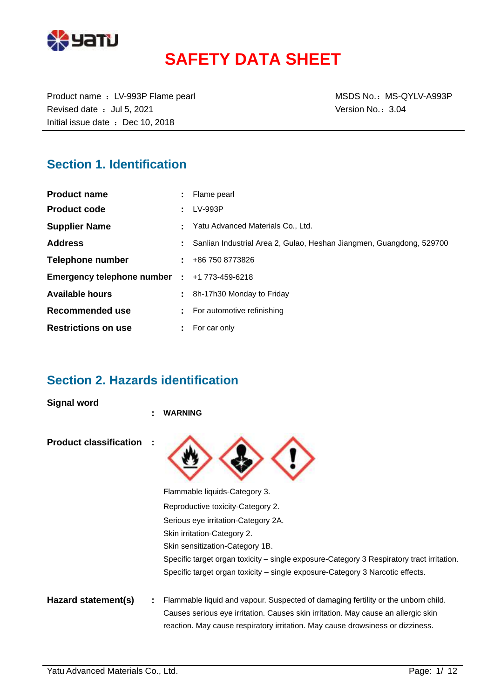

# **SAFETY DATA SHEET**

Product name : LV-993P Flame pearl MSDS No.: MS-QYLV-A993P Revised date : Jul 5, 2021 **Version No.: 3.04** Initial issue date : Dec 10, 2018

### **Section 1. Identification**

| <b>Product name</b>          |    | : Flame pearl                                                        |
|------------------------------|----|----------------------------------------------------------------------|
| <b>Product code</b>          |    | LV-993P                                                              |
| <b>Supplier Name</b>         |    | Yatu Advanced Materials Co., Ltd.                                    |
| <b>Address</b>               |    | Sanlian Industrial Area 2, Gulao, Heshan Jiangmen, Guangdong, 529700 |
| <b>Telephone number</b>      |    | $\pm 486$ 750 8773826                                                |
| Emergency telephone number : |    | +1 773-459-6218                                                      |
| <b>Available hours</b>       | ÷. | 8h-17h30 Monday to Friday                                            |
| Recommended use              |    | For automotive refinishing                                           |
| <b>Restrictions on use</b>   | ÷. | For car only                                                         |

### **Section 2. Hazards identification**

**Signal word**

|                               | ÷ | <b>WARNING</b>                                                                                                                                                      |
|-------------------------------|---|---------------------------------------------------------------------------------------------------------------------------------------------------------------------|
| <b>Product classification</b> |   |                                                                                                                                                                     |
|                               |   | Flammable liquids-Category 3.                                                                                                                                       |
|                               |   | Reproductive toxicity-Category 2.                                                                                                                                   |
|                               |   | Serious eye irritation-Category 2A.                                                                                                                                 |
|                               |   | Skin irritation-Category 2.                                                                                                                                         |
|                               |   | Skin sensitization-Category 1B.                                                                                                                                     |
|                               |   | Specific target organ toxicity – single exposure-Category 3 Respiratory tract irritation.                                                                           |
|                               |   | Specific target organ toxicity – single exposure-Category 3 Narcotic effects.                                                                                       |
| Hazard statement(s)           |   | Flammable liquid and vapour. Suspected of damaging fertility or the unborn child.                                                                                   |
|                               |   | Causes serious eye irritation. Causes skin irritation. May cause an allergic skin<br>reaction. May cause respiratory irritation. May cause drowsiness or dizziness. |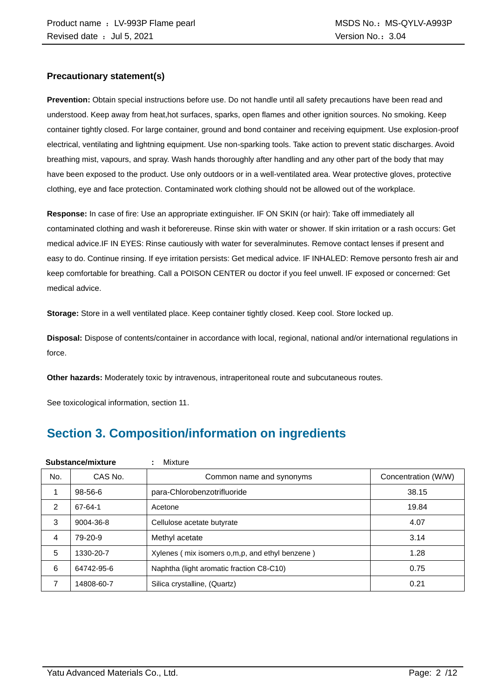#### **Precautionary statement(s)**

**Prevention:** Obtain special instructions before use. Do not handle until all safety precautions have been read and understood. Keep away from heat,hot surfaces, sparks, open flames and other ignition sources. No smoking. Keep container tightly closed. For large container, ground and bond container and receiving equipment. Use explosion-proof electrical, ventilating and lightning equipment. Use non-sparking tools. Take action to prevent static discharges. Avoid breathing mist, vapours, and spray. Wash hands thoroughly after handling and any other part of the body that may have been exposed to the product. Use only outdoors or in a well-ventilated area. Wear protective gloves, protective clothing, eye and face protection. Contaminated work clothing should not be allowed out of the workplace.

**Response:** In case of fire: Use an appropriate extinguisher. IF ON SKIN (or hair): Take off immediately all contaminated clothing and wash it beforereuse. Rinse skin with water or shower. If skin irritation or a rash occurs: Get medical advice.IF IN EYES: Rinse cautiously with water for severalminutes. Remove contact lenses if present and easy to do. Continue rinsing. If eye irritation persists: Get medical advice. IF INHALED: Remove personto fresh air and keep comfortable for breathing. Call a POISON CENTER ou doctor if you feel unwell. IF exposed or concerned: Get medical advice.

**Storage:** Store in a well ventilated place. Keep container tightly closed. Keep cool. Store locked up.

**Disposal:** Dispose of contents/container in accordance with local, regional, national and/or international regulations in force.

**Other hazards:** Moderately toxic by intravenous, intraperitoneal route and subcutaneous routes.

See toxicological information, section 11.

### **Section 3. Composition/information on ingredients**

|     | Substance/mixture | Mixture                                        |                     |
|-----|-------------------|------------------------------------------------|---------------------|
| No. | CAS No.           | Common name and synonyms                       | Concentration (W/W) |
|     | 98-56-6           | para-Chlorobenzotrifluoride                    | 38.15               |
| 2   | 67-64-1           | Acetone                                        | 19.84               |
| 3   | 9004-36-8         | Cellulose acetate butyrate                     | 4.07                |
| 4   | 79-20-9           | Methyl acetate                                 | 3.14                |
| 5   | 1330-20-7         | Xylenes (mix isomers o,m,p, and ethyl benzene) | 1.28                |
| 6   | 64742-95-6        | Naphtha (light aromatic fraction C8-C10)       | 0.75                |
| 7   | 14808-60-7        | Silica crystalline, (Quartz)                   | 0.21                |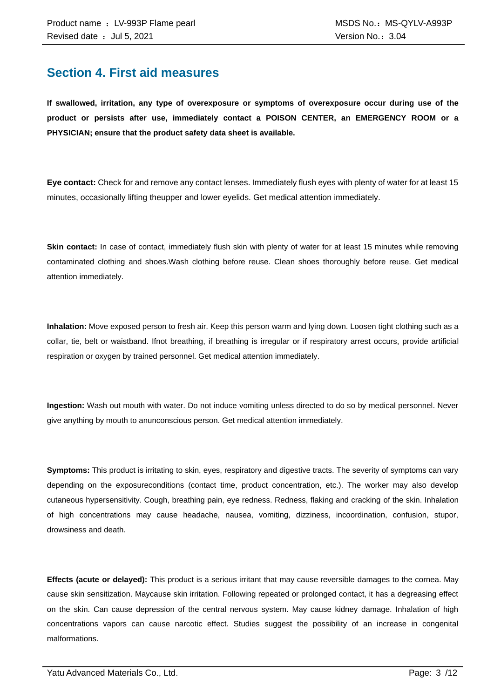### **Section 4. First aid measures**

**If swallowed, irritation, any type of overexposure or symptoms of overexposure occur during use of the product or persists after use, immediately contact a POISON CENTER, an EMERGENCY ROOM or a PHYSICIAN; ensure that the product safety data sheet is available.**

**Eye contact:** Check for and remove any contact lenses. Immediately flush eyes with plenty of water for at least 15 minutes, occasionally lifting theupper and lower eyelids. Get medical attention immediately.

**Skin contact:** In case of contact, immediately flush skin with plenty of water for at least 15 minutes while removing contaminated clothing and shoes.Wash clothing before reuse. Clean shoes thoroughly before reuse. Get medical attention immediately.

**Inhalation:** Move exposed person to fresh air. Keep this person warm and lying down. Loosen tight clothing such as a collar, tie, belt or waistband. Ifnot breathing, if breathing is irregular or if respiratory arrest occurs, provide artificial respiration or oxygen by trained personnel. Get medical attention immediately.

**Ingestion:** Wash out mouth with water. Do not induce vomiting unless directed to do so by medical personnel. Never give anything by mouth to anunconscious person. Get medical attention immediately.

**Symptoms:** This product is irritating to skin, eyes, respiratory and digestive tracts. The severity of symptoms can vary depending on the exposureconditions (contact time, product concentration, etc.). The worker may also develop cutaneous hypersensitivity. Cough, breathing pain, eye redness. Redness, flaking and cracking of the skin. Inhalation of high concentrations may cause headache, nausea, vomiting, dizziness, incoordination, confusion, stupor, drowsiness and death.

**Effects (acute or delayed):** This product is a serious irritant that may cause reversible damages to the cornea. May cause skin sensitization. Maycause skin irritation. Following repeated or prolonged contact, it has a degreasing effect on the skin. Can cause depression of the central nervous system. May cause kidney damage. Inhalation of high concentrations vapors can cause narcotic effect. Studies suggest the possibility of an increase in congenital malformations.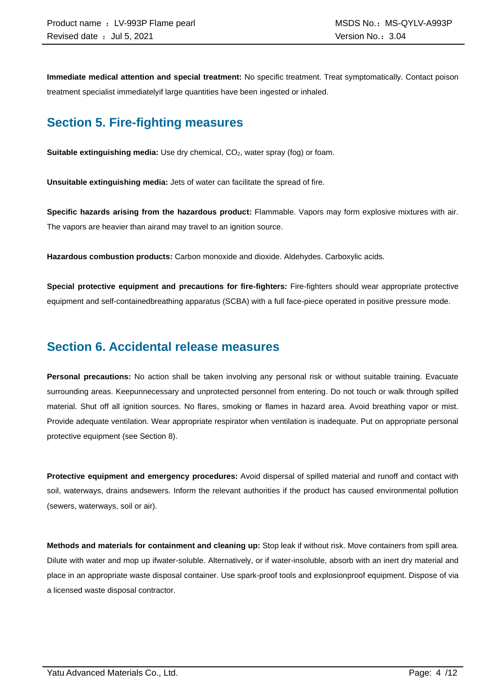**Immediate medical attention and special treatment:** No specific treatment. Treat symptomatically. Contact poison treatment specialist immediatelyif large quantities have been ingested or inhaled.

### **Section 5. Fire-fighting measures**

**Suitable extinguishing media:** Use dry chemical, CO<sub>2</sub>, water spray (fog) or foam.

**Unsuitable extinguishing media:** Jets of water can facilitate the spread of fire.

**Specific hazards arising from the hazardous product:** Flammable. Vapors may form explosive mixtures with air. The vapors are heavier than airand may travel to an ignition source.

**Hazardous combustion products:** Carbon monoxide and dioxide. Aldehydes. Carboxylic acids.

**Special protective equipment and precautions for fire-fighters:** Fire-fighters should wear appropriate protective equipment and self-containedbreathing apparatus (SCBA) with a full face-piece operated in positive pressure mode.

### **Section 6. Accidental release measures**

**Personal precautions:** No action shall be taken involving any personal risk or without suitable training. Evacuate surrounding areas. Keepunnecessary and unprotected personnel from entering. Do not touch or walk through spilled material. Shut off all ignition sources. No flares, smoking or flames in hazard area. Avoid breathing vapor or mist. Provide adequate ventilation. Wear appropriate respirator when ventilation is inadequate. Put on appropriate personal protective equipment (see Section 8).

**Protective equipment and emergency procedures:** Avoid dispersal of spilled material and runoff and contact with soil, waterways, drains andsewers. Inform the relevant authorities if the product has caused environmental pollution (sewers, waterways, soil or air).

**Methods and materials for containment and cleaning up:** Stop leak if without risk. Move containers from spill area. Dilute with water and mop up ifwater-soluble. Alternatively, or if water-insoluble, absorb with an inert dry material and place in an appropriate waste disposal container. Use spark-proof tools and explosionproof equipment. Dispose of via a licensed waste disposal contractor.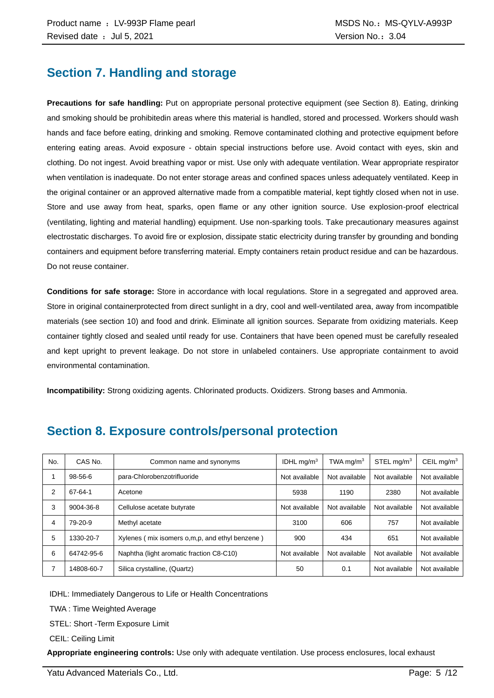### **Section 7. Handling and storage**

**Precautions for safe handling:** Put on appropriate personal protective equipment (see Section 8). Eating, drinking and smoking should be prohibitedin areas where this material is handled, stored and processed. Workers should wash hands and face before eating, drinking and smoking. Remove contaminated clothing and protective equipment before entering eating areas. Avoid exposure - obtain special instructions before use. Avoid contact with eyes, skin and clothing. Do not ingest. Avoid breathing vapor or mist. Use only with adequate ventilation. Wear appropriate respirator when ventilation is inadequate. Do not enter storage areas and confined spaces unless adequately ventilated. Keep in the original container or an approved alternative made from a compatible material, kept tightly closed when not in use. Store and use away from heat, sparks, open flame or any other ignition source. Use explosion-proof electrical (ventilating, lighting and material handling) equipment. Use non-sparking tools. Take precautionary measures against electrostatic discharges. To avoid fire or explosion, dissipate static electricity during transfer by grounding and bonding containers and equipment before transferring material. Empty containers retain product residue and can be hazardous. Do not reuse container.

**Conditions for safe storage:** Store in accordance with local regulations. Store in a segregated and approved area. Store in original containerprotected from direct sunlight in a dry, cool and well-ventilated area, away from incompatible materials (see section 10) and food and drink. Eliminate all ignition sources. Separate from oxidizing materials. Keep container tightly closed and sealed until ready for use. Containers that have been opened must be carefully resealed and kept upright to prevent leakage. Do not store in unlabeled containers. Use appropriate containment to avoid environmental contamination.

**Incompatibility:** Strong oxidizing agents. Chlorinated products. Oxidizers. Strong bases and Ammonia.

| No. | CAS No.    | Common name and synonyms                         | IDHL $mq/m3$  | TWA mg/m $3$  | STEL mg/m <sup>3</sup> | CEIL mg/ $m3$ |
|-----|------------|--------------------------------------------------|---------------|---------------|------------------------|---------------|
|     | 98-56-6    | para-Chlorobenzotrifluoride                      | Not available | Not available | Not available          | Not available |
| 2   | 67-64-1    | Acetone                                          | 5938          | 1190          | 2380                   | Not available |
| 3   | 9004-36-8  | Cellulose acetate butyrate                       | Not available | Not available | Not available          | Not available |
| 4   | 79-20-9    | Methyl acetate                                   | 3100          | 606           | 757                    | Not available |
| 5   | 1330-20-7  | Xylenes (mix isomers o, m, p, and ethyl benzene) | 900           | 434           | 651                    | Not available |
| 6   | 64742-95-6 | Naphtha (light aromatic fraction C8-C10)         | Not available | Not available | Not available          | Not available |
|     | 14808-60-7 | Silica crystalline, (Quartz)                     | 50            | 0.1           | Not available          | Not available |

### **Section 8. Exposure controls/personal protection**

IDHL: Immediately Dangerous to Life or Health Concentrations

TWA : Time Weighted Average

STEL: Short -Term Exposure Limit

CEIL: Ceiling Limit

**Appropriate engineering controls:** Use only with adequate ventilation. Use process enclosures, local exhaust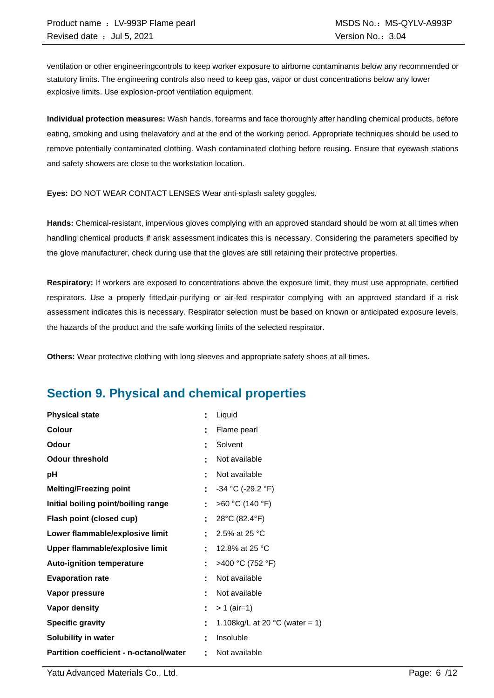ventilation or other engineeringcontrols to keep worker exposure to airborne contaminants below any recommended or statutory limits. The engineering controls also need to keep gas, vapor or dust concentrations below any lower explosive limits. Use explosion-proof ventilation equipment.

**Individual protection measures:** Wash hands, forearms and face thoroughly after handling chemical products, before eating, smoking and using thelavatory and at the end of the working period. Appropriate techniques should be used to remove potentially contaminated clothing. Wash contaminated clothing before reusing. Ensure that eyewash stations and safety showers are close to the workstation location.

**Eyes:** DO NOT WEAR CONTACT LENSES Wear anti-splash safety goggles.

**Hands:** Chemical-resistant, impervious gloves complying with an approved standard should be worn at all times when handling chemical products if arisk assessment indicates this is necessary. Considering the parameters specified by the glove manufacturer, check during use that the gloves are still retaining their protective properties.

**Respiratory:** If workers are exposed to concentrations above the exposure limit, they must use appropriate, certified respirators. Use a properly fitted,air-purifying or air-fed respirator complying with an approved standard if a risk assessment indicates this is necessary. Respirator selection must be based on known or anticipated exposure levels, the hazards of the product and the safe working limits of the selected respirator.

**Others:** Wear protective clothing with long sleeves and appropriate safety shoes at all times.

### **Section 9. Physical and chemical properties**

| <b>Physical state</b>                   | Ë. | Liquid                                   |
|-----------------------------------------|----|------------------------------------------|
| Colour                                  |    | Flame pearl                              |
| Odour                                   | t  | Solvent                                  |
| <b>Odour threshold</b>                  | ٠  | Not available                            |
| рH                                      | Ì. | Not available                            |
| <b>Melting/Freezing point</b>           | t  | $-34$ °C (-29.2 °F)                      |
| Initial boiling point/boiling range     | ÷. | >60 °C (140 °F)                          |
| Flash point (closed cup)                | Ë. | 28°C (82.4°F)                            |
| Lower flammable/explosive limit         |    | 2.5% at 25 °C                            |
| Upper flammable/explosive limit         |    | 12.8% at 25 °C                           |
| <b>Auto-ignition temperature</b>        | ÷. | >400 °C (752 °F)                         |
| <b>Evaporation rate</b>                 | t  | Not available                            |
| Vapor pressure                          | ٠  | Not available                            |
| <b>Vapor density</b>                    |    | $> 1$ (air=1)                            |
| <b>Specific gravity</b>                 | t  | 1.108kg/L at 20 $^{\circ}$ C (water = 1) |
| Solubility in water                     |    | Insoluble                                |
| Partition coefficient - n-octanol/water | ۰  | Not available                            |

Yatu Advanced Materials Co., Ltd. Page: 6 /12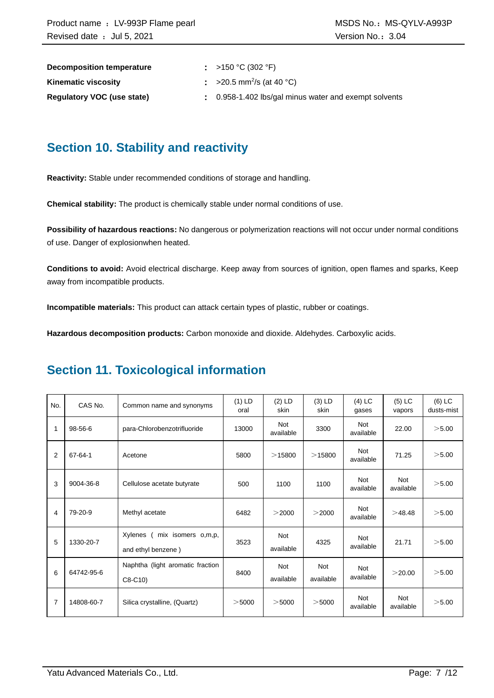| Decomposition temperature         | : >150 °C (302 °F)                                    |
|-----------------------------------|-------------------------------------------------------|
| <b>Kinematic viscosity</b>        | $\approx$ >20.5 mm <sup>2</sup> /s (at 40 °C)         |
| <b>Requiatory VOC (use state)</b> | . 0.958-1.402 lbs/gal minus water and exempt solvents |

### **Section 10. Stability and reactivity**

**Reactivity:** Stable under recommended conditions of storage and handling.

**Chemical stability:** The product is chemically stable under normal conditions of use.

**Possibility of hazardous reactions:** No dangerous or polymerization reactions will not occur under normal conditions of use. Danger of explosionwhen heated.

**Conditions to avoid:** Avoid electrical discharge. Keep away from sources of ignition, open flames and sparks, Keep away from incompatible products.

**Incompatible materials:** This product can attack certain types of plastic, rubber or coatings.

**Hazardous decomposition products:** Carbon monoxide and dioxide. Aldehydes. Carboxylic acids.

### **Section 11. Toxicological information**

| No. | CAS No.       | Common name and synonyms                            | $(1)$ LD<br>oral | $(2)$ LD<br>skin        | $(3)$ LD<br>skin        | $(4)$ LC<br>gases       | $(5)$ LC<br>vapors      | $(6)$ LC<br>dusts-mist |
|-----|---------------|-----------------------------------------------------|------------------|-------------------------|-------------------------|-------------------------|-------------------------|------------------------|
| 1   | 98-56-6       | para-Chlorobenzotrifluoride                         | 13000            | <b>Not</b><br>available | 3300                    | Not<br>available        | 22.00                   | >5.00                  |
| 2   | $67 - 64 - 1$ | Acetone                                             | 5800             | >15800                  | >15800                  | <b>Not</b><br>available | 71.25                   | >5.00                  |
| 3   | 9004-36-8     | Cellulose acetate butyrate                          | 500              | 1100                    | 1100                    | <b>Not</b><br>available | Not<br>available        | >5.00                  |
| 4   | 79-20-9       | Methyl acetate                                      | 6482             | >2000                   | >2000                   | <b>Not</b><br>available | >48.48                  | >5.00                  |
| 5   | 1330-20-7     | Xylenes<br>mix isomers o,m,p,<br>and ethyl benzene) | 3523             | <b>Not</b><br>available | 4325                    | <b>Not</b><br>available | 21.71                   | >5.00                  |
| 6   | 64742-95-6    | Naphtha (light aromatic fraction<br>$C8-C10$        | 8400             | <b>Not</b><br>available | <b>Not</b><br>available | <b>Not</b><br>available | >20.00                  | >5.00                  |
| 7   | 14808-60-7    | Silica crystalline, (Quartz)                        | $>$ 5000         | $>$ 5000                | $>$ 5000                | <b>Not</b><br>available | <b>Not</b><br>available | >5.00                  |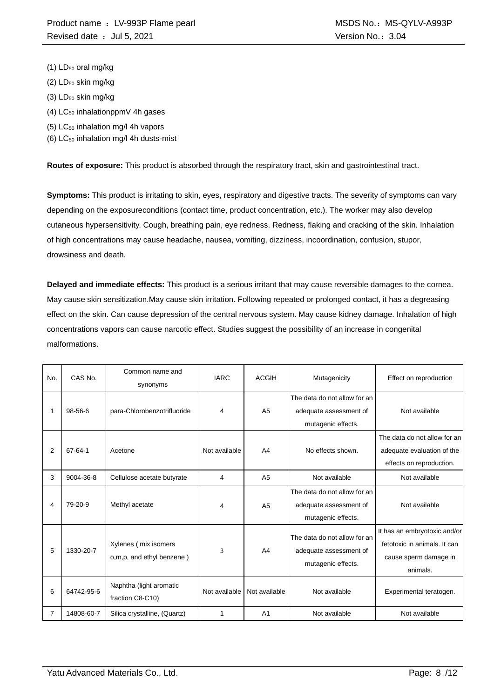- (1) LD<sub>50</sub> oral mg/kg
- $(2)$  LD<sub>50</sub> skin mg/kg
- $(3)$  LD<sub>50</sub> skin mg/kg
- $(4)$  LC<sub>50</sub> inhalationppmV 4h gases
- (5) LC<sup>50</sup> inhalation mg/l 4h vapors
- (6)  $LC_{50}$  inhalation mg/l 4h dusts-mist

**Routes of exposure:** This product is absorbed through the respiratory tract, skin and gastrointestinal tract.

**Symptoms:** This product is irritating to skin, eyes, respiratory and digestive tracts. The severity of symptoms can vary depending on the exposureconditions (contact time, product concentration, etc.). The worker may also develop cutaneous hypersensitivity. Cough, breathing pain, eye redness. Redness, flaking and cracking of the skin. Inhalation of high concentrations may cause headache, nausea, vomiting, dizziness, incoordination, confusion, stupor, drowsiness and death.

**Delayed and immediate effects:** This product is a serious irritant that may cause reversible damages to the cornea. May cause skin sensitization.May cause skin irritation. Following repeated or prolonged contact, it has a degreasing effect on the skin. Can cause depression of the central nervous system. May cause kidney damage. Inhalation of high concentrations vapors can cause narcotic effect. Studies suggest the possibility of an increase in congenital malformations.

| No. | CAS No.    | Common name and<br>synonyms                       | <b>IARC</b>   | <b>ACGIH</b>   | Mutagenicity                                                                 | Effect on reproduction                                                                            |
|-----|------------|---------------------------------------------------|---------------|----------------|------------------------------------------------------------------------------|---------------------------------------------------------------------------------------------------|
|     | 98-56-6    | para-Chlorobenzotrifluoride                       | 4             | A <sub>5</sub> | The data do not allow for an<br>adequate assessment of<br>mutagenic effects. | Not available                                                                                     |
| 2   | 67-64-1    | Acetone                                           | Not available | A <sub>4</sub> | No effects shown.                                                            | The data do not allow for an<br>adequate evaluation of the<br>effects on reproduction.            |
| 3   | 9004-36-8  | Cellulose acetate butyrate                        | 4             | A <sub>5</sub> | Not available                                                                | Not available                                                                                     |
| 4   | 79-20-9    | Methyl acetate                                    | 4             | A <sub>5</sub> | The data do not allow for an<br>adequate assessment of<br>mutagenic effects. | Not available                                                                                     |
| 5   | 1330-20-7  | Xylenes (mix isomers<br>o,m,p, and ethyl benzene) | 3             | A <sub>4</sub> | The data do not allow for an<br>adequate assessment of<br>mutagenic effects. | It has an embryotoxic and/or<br>fetotoxic in animals. It can<br>cause sperm damage in<br>animals. |
| 6   | 64742-95-6 | Naphtha (light aromatic<br>fraction C8-C10)       | Not available | Not available  | Not available                                                                | Experimental teratogen.                                                                           |
| 7   | 14808-60-7 | Silica crystalline, (Quartz)                      | 1             | A <sub>1</sub> | Not available                                                                | Not available                                                                                     |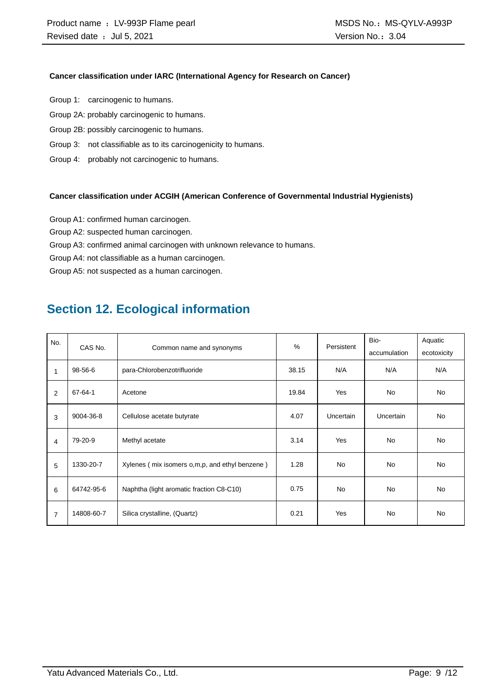#### **Cancer classification under IARC (International Agency for Research on Cancer)**

- Group 1: carcinogenic to humans.
- Group 2A: probably carcinogenic to humans.
- Group 2B: possibly carcinogenic to humans.
- Group 3: not classifiable as to its carcinogenicity to humans.
- Group 4: probably not carcinogenic to humans.

#### **Cancer classification under ACGIH (American Conference of Governmental Industrial Hygienists)**

- Group A1: confirmed human carcinogen.
- Group A2: suspected human carcinogen.
- Group A3: confirmed animal carcinogen with unknown relevance to humans.
- Group A4: not classifiable as a human carcinogen.

Group A5: not suspected as a human carcinogen.

### **Section 12. Ecological information**

| No.<br>CAS No. |               |                                                  | $\%$  | Persistent | Bio-             | Aquatic     |
|----------------|---------------|--------------------------------------------------|-------|------------|------------------|-------------|
|                |               | Common name and synonyms                         |       |            | accumulation     | ecotoxicity |
| $\mathbf{1}$   | 98-56-6       | para-Chlorobenzotrifluoride                      | 38.15 | N/A        | N/A              | N/A         |
| 2              | $67 - 64 - 1$ | Acetone                                          | 19.84 | Yes        | <b>No</b>        | <b>No</b>   |
| 3              | 9004-36-8     | Cellulose acetate butyrate                       | 4.07  | Uncertain  | <b>Uncertain</b> | <b>No</b>   |
| 4              | 79-20-9       | Methyl acetate                                   | 3.14  | Yes        | <b>No</b>        | <b>No</b>   |
| 5              | 1330-20-7     | Xylenes (mix isomers o, m, p, and ethyl benzene) | 1.28  | <b>No</b>  | <b>No</b>        | <b>No</b>   |
| 6              | 64742-95-6    | Naphtha (light aromatic fraction C8-C10)         | 0.75  | <b>No</b>  | <b>No</b>        | <b>No</b>   |
| $\overline{7}$ | 14808-60-7    | Silica crystalline, (Quartz)                     | 0.21  | Yes        | <b>No</b>        | <b>No</b>   |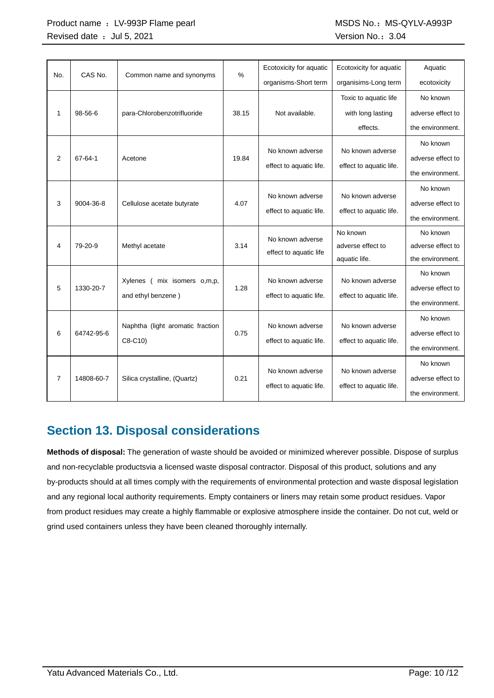|                | CAS No.    |                                  | $\%$  | Ecotoxicity for aquatic                     | Ecotoxicity for aquatic | Aquatic           |
|----------------|------------|----------------------------------|-------|---------------------------------------------|-------------------------|-------------------|
| No.            |            | Common name and synonyms         |       | organisms-Short term                        | organisims-Long term    | ecotoxicity       |
|                |            |                                  |       |                                             | Toxic to aquatic life   | No known          |
| $\mathbf{1}$   | $98-56-6$  | para-Chlorobenzotrifluoride      | 38.15 | Not available.                              | with long lasting       | adverse effect to |
|                |            |                                  |       |                                             | effects.                | the environment.  |
|                |            |                                  |       | No known adverse                            | No known adverse        | No known          |
| 2              | 67-64-1    | Acetone                          | 19.84 |                                             |                         | adverse effect to |
|                |            |                                  |       | effect to aquatic life.                     | effect to aquatic life. | the environment.  |
|                |            |                                  |       |                                             |                         | No known          |
| 3              | 9004-36-8  | Cellulose acetate butyrate       | 4.07  | No known adverse<br>effect to aquatic life. | No known adverse        | adverse effect to |
|                |            |                                  |       |                                             | effect to aquatic life. | the environment.  |
|                |            |                                  |       | No known adverse                            | No known                | No known          |
| 4              | 79-20-9    | Methyl acetate                   | 3.14  | effect to aquatic life                      | adverse effect to       | adverse effect to |
|                |            |                                  |       |                                             | aquatic life.           | the environment.  |
|                |            | mix isomers o,m,p,<br>Xylenes (  |       | No known adverse                            | No known adverse        | No known          |
| 5              | 1330-20-7  | and ethyl benzene)               | 1.28  | effect to aquatic life.                     | effect to aquatic life. | adverse effect to |
|                |            |                                  |       |                                             |                         | the environment.  |
|                |            | Naphtha (light aromatic fraction |       | No known adverse                            | No known adverse        | No known          |
| 6              | 64742-95-6 |                                  | 0.75  |                                             |                         | adverse effect to |
|                |            | C8-C10)                          |       | effect to aquatic life.                     | effect to aquatic life. | the environment.  |
|                |            |                                  |       |                                             |                         | No known          |
| $\overline{7}$ | 14808-60-7 | Silica crystalline, (Quartz)     | 0.21  | No known adverse                            | No known adverse        | adverse effect to |
|                |            |                                  |       | effect to aquatic life.                     | effect to aquatic life. | the environment.  |

### **Section 13. Disposal considerations**

**Methods of disposal:** The generation of waste should be avoided or minimized wherever possible. Dispose of surplus and non-recyclable productsvia a licensed waste disposal contractor. Disposal of this product, solutions and any by-products should at all times comply with the requirements of environmental protection and waste disposal legislation and any regional local authority requirements. Empty containers or liners may retain some product residues. Vapor from product residues may create a highly flammable or explosive atmosphere inside the container. Do not cut, weld or grind used containers unless they have been cleaned thoroughly internally.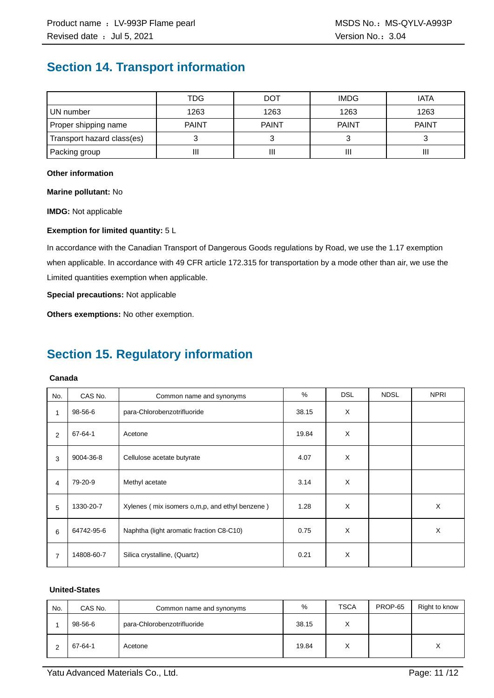### **Section 14. Transport information**

|                            | TDG          | <b>DOT</b>   | <b>IMDG</b>  | <b>IATA</b>  |
|----------------------------|--------------|--------------|--------------|--------------|
| UN number                  | 1263         | 1263         | 1263         | 1263         |
| Proper shipping name       | <b>PAINT</b> | <b>PAINT</b> | <b>PAINT</b> | <b>PAINT</b> |
| Transport hazard class(es) |              |              |              |              |
| Packing group              | П            | Ш            |              | Ш            |

#### **Other information**

**Marine pollutant:** No

**IMDG:** Not applicable

#### **Exemption for limited quantity:** 5 L

In accordance with the Canadian Transport of Dangerous Goods regulations by Road, we use the 1.17 exemption when applicable. In accordance with 49 CFR article 172.315 for transportation by a mode other than air, we use the Limited quantities exemption when applicable.

**Special precautions:** Not applicable

**Others exemptions:** No other exemption.

## **Section 15. Regulatory information**

#### **Canada**

| No.            | CAS No.    | Common name and synonyms                       | %     | <b>DSL</b> | <b>NDSL</b> | <b>NPRI</b> |
|----------------|------------|------------------------------------------------|-------|------------|-------------|-------------|
| 1              | 98-56-6    | para-Chlorobenzotrifluoride                    | 38.15 | X          |             |             |
| 2              | 67-64-1    | Acetone                                        | 19.84 | X          |             |             |
| 3              | 9004-36-8  | Cellulose acetate butyrate                     | 4.07  | X          |             |             |
| 4              | 79-20-9    | Methyl acetate                                 | 3.14  | X          |             |             |
| 5              | 1330-20-7  | Xylenes (mix isomers o,m,p, and ethyl benzene) | 1.28  | X          |             | X           |
| 6              | 64742-95-6 | Naphtha (light aromatic fraction C8-C10)       | 0.75  | X          |             | X           |
| $\overline{7}$ | 14808-60-7 | Silica crystalline, (Quartz)                   | 0.21  | X          |             |             |

#### **United-States**

| No. | CAS No. | Common name and synonyms    | %     | <b>TSCA</b>       | PROP-65 | Right to know    |
|-----|---------|-----------------------------|-------|-------------------|---------|------------------|
|     | 98-56-6 | para-Chlorobenzotrifluoride | 38.15 | $\checkmark$<br>∧ |         |                  |
|     | 67-64-1 | Acetone                     | 19.84 | $\checkmark$<br>⋏ |         | $\check{ }$<br>⋏ |